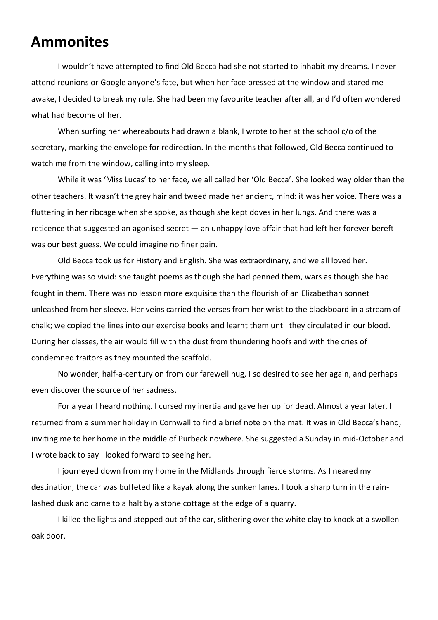## **Ammonites**

I wouldn't have attempted to find Old Becca had she not started to inhabit my dreams. I never attend reunions or Google anyone's fate, but when her face pressed at the window and stared me awake, I decided to break my rule. She had been my favourite teacher after all, and I'd often wondered what had become of her.

When surfing her whereabouts had drawn a blank, I wrote to her at the school c/o of the secretary, marking the envelope for redirection. In the months that followed, Old Becca continued to watch me from the window, calling into my sleep.

While it was 'Miss Lucas' to her face, we all called her 'Old Becca'. She looked way older than the other teachers. It wasn't the grey hair and tweed made her ancient, mind: it was her voice. There was a fluttering in her ribcage when she spoke, as though she kept doves in her lungs. And there was a reticence that suggested an agonised secret — an unhappy love affair that had left her forever bereft was our best guess. We could imagine no finer pain.

Old Becca took us for History and English. She was extraordinary, and we all loved her. Everything was so vivid: she taught poems as though she had penned them, wars as though she had fought in them. There was no lesson more exquisite than the flourish of an Elizabethan sonnet unleashed from her sleeve. Her veins carried the verses from her wrist to the blackboard in a stream of chalk; we copied the lines into our exercise books and learnt them until they circulated in our blood. During her classes, the air would fill with the dust from thundering hoofs and with the cries of condemned traitors as they mounted the scaffold.

No wonder, half-a-century on from our farewell hug, I so desired to see her again, and perhaps even discover the source of her sadness.

For a year I heard nothing. I cursed my inertia and gave her up for dead. Almost a year later, I returned from a summer holiday in Cornwall to find a brief note on the mat. It was in Old Becca's hand, inviting me to her home in the middle of Purbeck nowhere. She suggested a Sunday in mid-October and I wrote back to say I looked forward to seeing her.

I journeyed down from my home in the Midlands through fierce storms. As I neared my destination, the car was buffeted like a kayak along the sunken lanes. I took a sharp turn in the rainlashed dusk and came to a halt by a stone cottage at the edge of a quarry.

I killed the lights and stepped out of the car, slithering over the white clay to knock at a swollen oak door.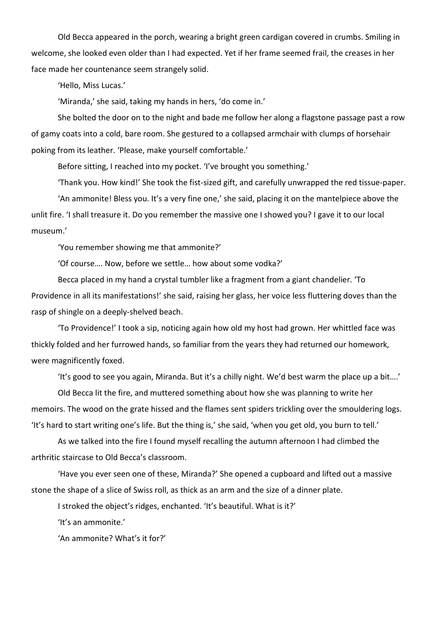Old Becca appeared in the porch, wearing a bright green cardigan covered in crumbs. Smiling in welcome, she looked even older than I had expected. Yet if her frame seemed frail, the creases in her face made her countenance seem strangely solid.

'Hello, Miss Lucas.'

'Miranda,' she said, taking my hands in hers, 'do come in.'

She bolted the door on to the night and bade me follow her along a flagstone passage past a row of gamy coats into a cold, bare room. She gestured to a collapsed armchair with clumps of horsehair poking from its leather. 'Please, make yourself comfortable.'

Before sitting, I reached into my pocket. 'I've brought you something.'

'Thank you. How kind!' She took the fist-sized gift, and carefully unwrapped the red tissue-paper.

'An ammonite! Bless you. It's a very fine one,' she said, placing it on the mantelpiece above the unlit fire. 'I shall treasure it. Do you remember the massive one I showed you? I gave it to our local museum.'

'You remember showing me that ammonite?'

'Of course…. Now, before we settle… how about some vodka?'

Becca placed in my hand a crystal tumbler like a fragment from a giant chandelier. 'To Providence in all its manifestations!' she said, raising her glass, her voice less fluttering doves than the rasp of shingle on a deeply-shelved beach.

'To Providence!' I took a sip, noticing again how old my host had grown. Her whittled face was thickly folded and her furrowed hands, so familiar from the years they had returned our homework, were magnificently foxed.

'It's good to see you again, Miranda. But it's a chilly night. We'd best warm the place up a bit….'

Old Becca lit the fire, and muttered something about how she was planning to write her memoirs. The wood on the grate hissed and the flames sent spiders trickling over the smouldering logs. 'It's hard to start writing one's life. But the thing is,' she said, 'when you get old, you burn to tell.'

As we talked into the fire I found myself recalling the autumn afternoon I had climbed the arthritic staircase to Old Becca's classroom.

'Have you ever seen one of these, Miranda?' She opened a cupboard and lifted out a massive stone the shape of a slice of Swiss roll, as thick as an arm and the size of a dinner plate.

I stroked the object's ridges, enchanted. 'It's beautiful. What is it?'

'It's an ammonite.'

'An ammonite? What's it for?'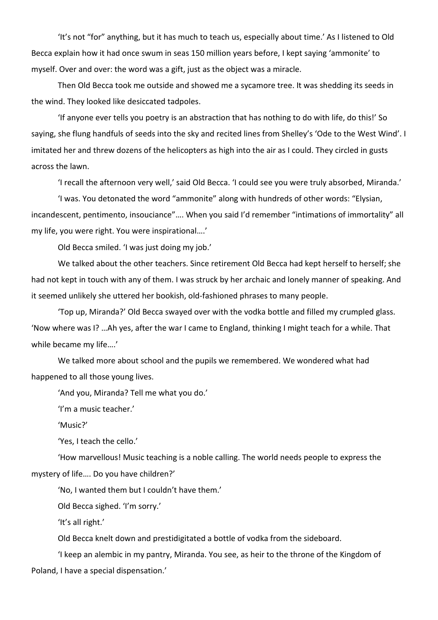'It's not "for" anything, but it has much to teach us, especially about time.' As I listened to Old Becca explain how it had once swum in seas 150 million years before, I kept saying 'ammonite' to myself. Over and over: the word was a gift, just as the object was a miracle.

Then Old Becca took me outside and showed me a sycamore tree. It was shedding its seeds in the wind. They looked like desiccated tadpoles.

'If anyone ever tells you poetry is an abstraction that has nothing to do with life, do this!' So saying, she flung handfuls of seeds into the sky and recited lines from Shelley's 'Ode to the West Wind'. I imitated her and threw dozens of the helicopters as high into the air as I could. They circled in gusts across the lawn.

'I recall the afternoon very well,' said Old Becca. 'I could see you were truly absorbed, Miranda.'

'I was. You detonated the word "ammonite" along with hundreds of other words: "Elysian, incandescent, pentimento, insouciance"…. When you said I'd remember "intimations of immortality" all my life, you were right. You were inspirational….'

Old Becca smiled. 'I was just doing my job.'

We talked about the other teachers. Since retirement Old Becca had kept herself to herself; she had not kept in touch with any of them. I was struck by her archaic and lonely manner of speaking. And it seemed unlikely she uttered her bookish, old-fashioned phrases to many people.

'Top up, Miranda?' Old Becca swayed over with the vodka bottle and filled my crumpled glass. 'Now where was I? …Ah yes, after the war I came to England, thinking I might teach for a while. That while became my life….'

We talked more about school and the pupils we remembered. We wondered what had happened to all those young lives.

'And you, Miranda? Tell me what you do.'

'I'm a music teacher.'

'Music?'

'Yes, I teach the cello.'

'How marvellous! Music teaching is a noble calling. The world needs people to express the mystery of life…. Do you have children?'

'No, I wanted them but I couldn't have them.'

Old Becca sighed. 'I'm sorry.'

'It's all right.'

Old Becca knelt down and prestidigitated a bottle of vodka from the sideboard.

'I keep an alembic in my pantry, Miranda. You see, as heir to the throne of the Kingdom of Poland, I have a special dispensation.'